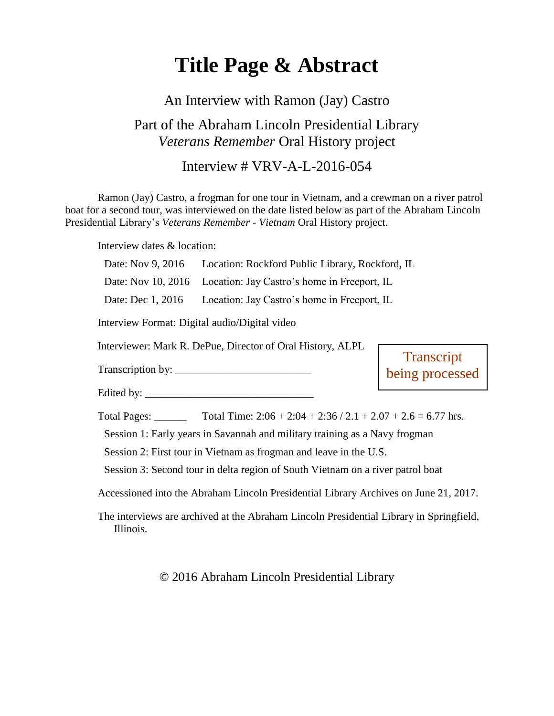# **Title Page & Abstract**

### An Interview with Ramon (Jay) Castro

## Part of the Abraham Lincoln Presidential Library *Veterans Remember* Oral History project

### Interview # VRV-A-L-2016-054

Ramon (Jay) Castro, a frogman for one tour in Vietnam, and a crewman on a river patrol boat for a second tour, was interviewed on the date listed below as part of the Abraham Lincoln Presidential Library's *Veterans Remember - Vietnam* Oral History project.

Interview dates & location:

Date: Nov 9, 2016 Location: Rockford Public Library, Rockford, IL

Date: Nov 10, 2016 Location: Jay Castro's home in Freeport, IL

Date: Dec 1, 2016 Location: Jay Castro's home in Freeport, IL

Interview Format: Digital audio/Digital video

Interviewer: Mark R. DePue, Director of Oral History, ALPL

Transcription by:

Edited by:  $\frac{1}{2}$   $\frac{1}{2}$   $\frac{1}{2}$   $\frac{1}{2}$   $\frac{1}{2}$   $\frac{1}{2}$   $\frac{1}{2}$   $\frac{1}{2}$   $\frac{1}{2}$   $\frac{1}{2}$   $\frac{1}{2}$   $\frac{1}{2}$   $\frac{1}{2}$   $\frac{1}{2}$   $\frac{1}{2}$   $\frac{1}{2}$   $\frac{1}{2}$   $\frac{1}{2}$   $\frac{1}{2}$   $\frac{1}{2}$   $\frac{1}{2}$ 

**Transcript** being processed

Total Pages: \_\_\_\_\_\_\_ Total Time:  $2:06 + 2:04 + 2:36 / 2.1 + 2.07 + 2.6 = 6.77$  hrs.

Session 1: Early years in Savannah and military training as a Navy frogman

Session 2: First tour in Vietnam as frogman and leave in the U.S.

Session 3: Second tour in delta region of South Vietnam on a river patrol boat

Accessioned into the Abraham Lincoln Presidential Library Archives on June 21, 2017.

The interviews are archived at the Abraham Lincoln Presidential Library in Springfield, Illinois.

© 2016 Abraham Lincoln Presidential Library